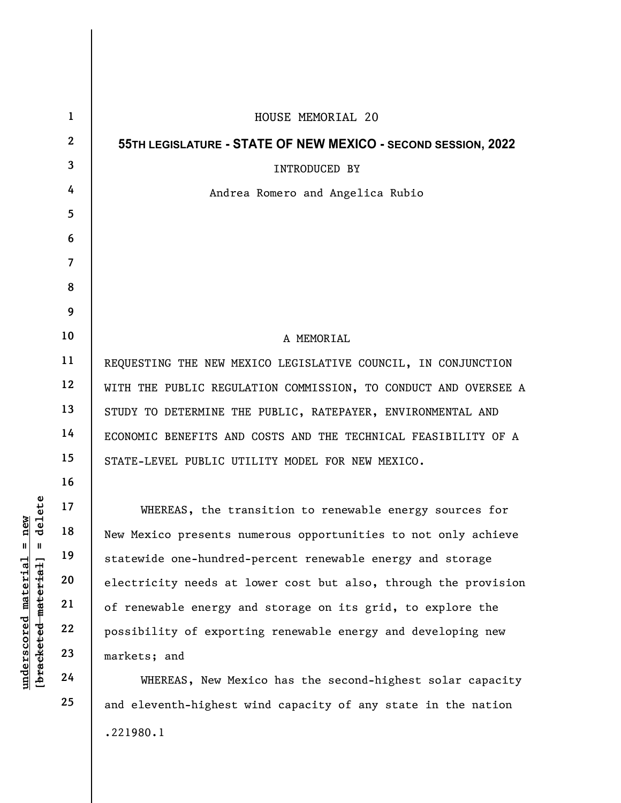|                                            | $\mathbf{1}$   | HOUSE MEMORIAL 20                                               |
|--------------------------------------------|----------------|-----------------------------------------------------------------|
|                                            | $\mathbf{2}$   | 55TH LEGISLATURE - STATE OF NEW MEXICO - SECOND SESSION, 2022   |
|                                            | 3              | <b>INTRODUCED BY</b>                                            |
|                                            | 4              | Andrea Romero and Angelica Rubio                                |
|                                            | 5              |                                                                 |
|                                            | 6              |                                                                 |
|                                            | $\overline{7}$ |                                                                 |
|                                            | 8              |                                                                 |
|                                            | 9              |                                                                 |
|                                            | 10             | A MEMORIAL                                                      |
|                                            | 11             | REQUESTING THE NEW MEXICO LEGISLATIVE COUNCIL, IN CONJUNCTION   |
|                                            | 12             | WITH THE PUBLIC REGULATION COMMISSION, TO CONDUCT AND OVERSEE A |
|                                            | 13             | STUDY TO DETERMINE THE PUBLIC, RATEPAYER, ENVIRONMENTAL AND     |
|                                            | 14             | ECONOMIC BENEFITS AND COSTS AND THE TECHNICAL FEASIBILITY OF A  |
|                                            | 15             | STATE-LEVEL PUBLIC UTILITY MODEL FOR NEW MEXICO.                |
| delete                                     | 16             |                                                                 |
|                                            | 17             | WHEREAS, the transition to renewable energy sources for         |
| new                                        | 18             | New Mexico presents numerous opportunities to not only achieve  |
| $\mathbb{I}$<br>$\blacksquare$<br>material | 19             | statewide one-hundred-percent renewable energy and storage      |
|                                            | 20             | electricity needs at lower cost but also, through the provision |
|                                            | 21             | of renewable energy and storage on its grid, to explore the     |
|                                            | 22             | possibility of exporting renewable energy and developing new    |
| [bracketed-material]<br>underscored        | 23             | markets; and                                                    |
|                                            | 24             | WHEREAS, New Mexico has the second-highest solar capacity       |
|                                            | 25             | and eleventh-highest wind capacity of any state in the nation   |

.221980.1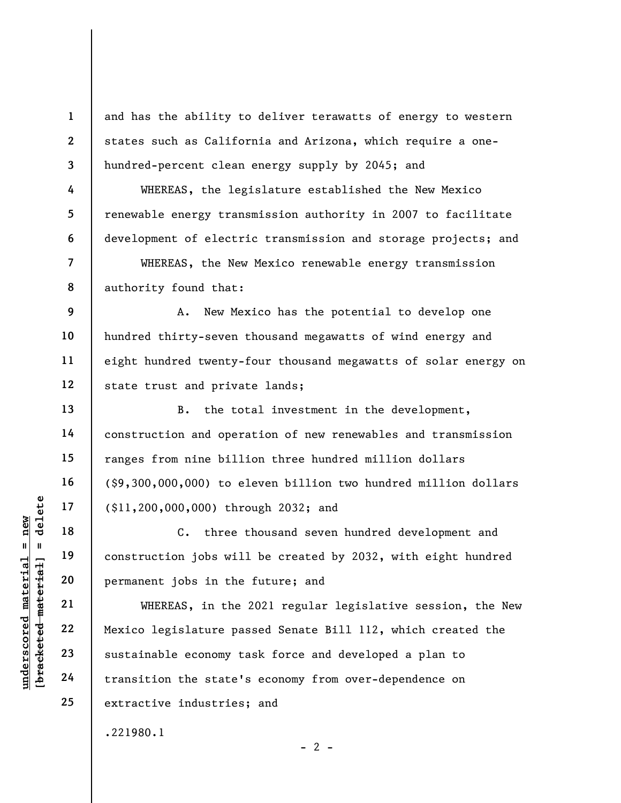and has the ability to deliver terawatts of energy to western states such as California and Arizona, which require a onehundred-percent clean energy supply by 2045; and

WHEREAS, the legislature established the New Mexico renewable energy transmission authority in 2007 to facilitate development of electric transmission and storage projects; and

WHEREAS, the New Mexico renewable energy transmission authority found that:

9 10 11 12 A. New Mexico has the potential to develop one hundred thirty-seven thousand megawatts of wind energy and eight hundred twenty-four thousand megawatts of solar energy on state trust and private lands;

B. the total investment in the development, construction and operation of new renewables and transmission ranges from nine billion three hundred million dollars (\$9,300,000,000) to eleven billion two hundred million dollars (\$11,200,000,000) through 2032; and

C. three thousand seven hundred development and construction jobs will be created by 2032, with eight hundred permanent jobs in the future; and

underscored material = new [bracketed material] = delete WHEREAS, in the 2021 regular legislative session, the New Mexico legislature passed Senate Bill 112, which created the sustainable economy task force and developed a plan to transition the state's economy from over-dependence on extractive industries; and

.221980.1

 $- 2 -$ 

1

2

3

4

5

6

7

8

13

14

15

16

17

18

19

20

21

22

23

24

25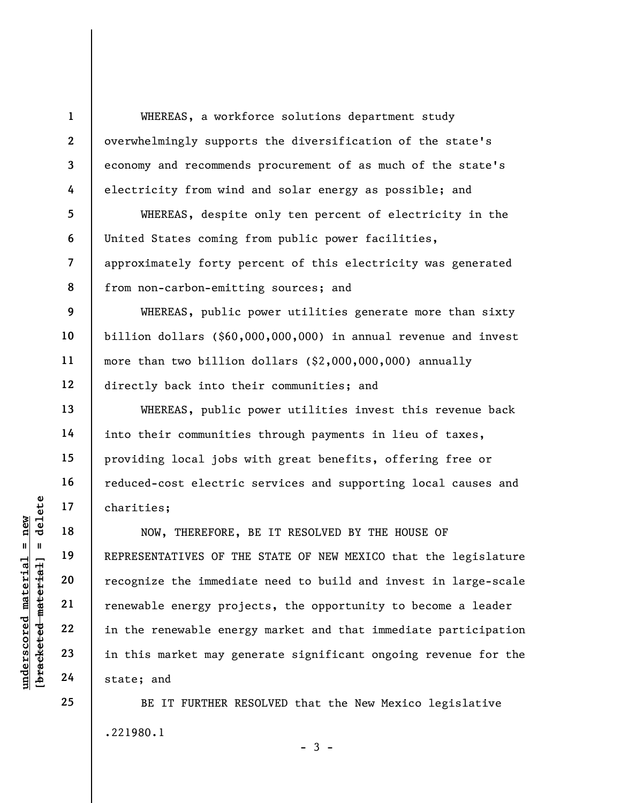WHEREAS, a workforce solutions department study overwhelmingly supports the diversification of the state's economy and recommends procurement of as much of the state's electricity from wind and solar energy as possible; and

WHEREAS, despite only ten percent of electricity in the United States coming from public power facilities, approximately forty percent of this electricity was generated from non-carbon-emitting sources; and

WHEREAS, public power utilities generate more than sixty billion dollars (\$60,000,000,000) in annual revenue and invest more than two billion dollars (\$2,000,000,000) annually directly back into their communities; and

WHEREAS, public power utilities invest this revenue back into their communities through payments in lieu of taxes, providing local jobs with great benefits, offering free or reduced-cost electric services and supporting local causes and charities;

UNDERTATIVES OF THE PORT 19<br>
UNDERTRESENTATIVES OF THE PORT 19<br>
UNDERTRESENTATIVES OF THE PORT 20<br>
THE PORT 22<br>
UNDERTRESENTATIVES OF THE PORT 22<br>
THE PORT 22<br>
In the renewable energy proj<br>
in this market may ge<br>
UNDERTRES NOW, THEREFORE, BE IT RESOLVED BY THE HOUSE OF REPRESENTATIVES OF THE STATE OF NEW MEXICO that the legislature recognize the immediate need to build and invest in large-scale renewable energy projects, the opportunity to become a leader in the renewable energy market and that immediate participation in this market may generate significant ongoing revenue for the state; and

> BE IT FURTHER RESOLVED that the New Mexico legislative .221980.1

> > $-3 -$

25

1

2

3

4

5

6

7

8

9

10

11

12

13

14

15

16

17

18

19

20

21

22

23

24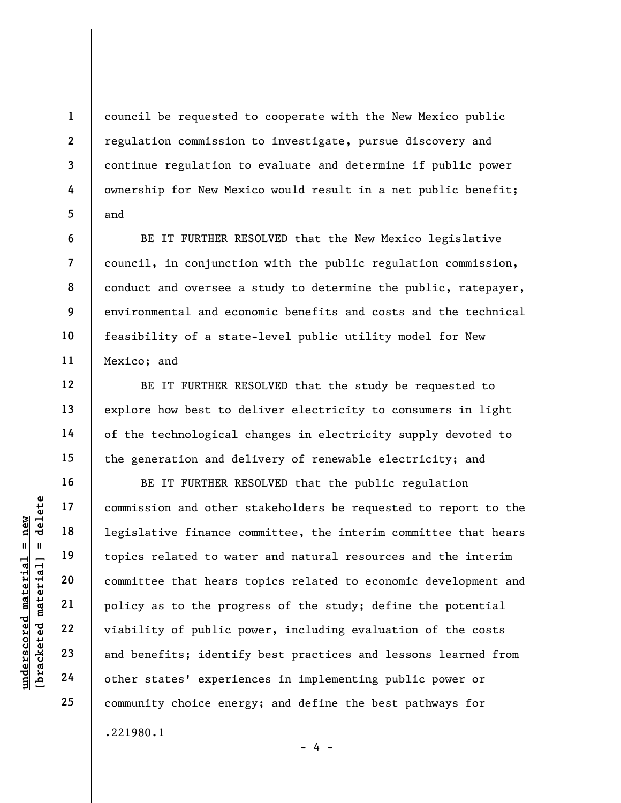council be requested to cooperate with the New Mexico public regulation commission to investigate, pursue discovery and continue regulation to evaluate and determine if public power ownership for New Mexico would result in a net public benefit; and

BE IT FURTHER RESOLVED that the New Mexico legislative council, in conjunction with the public regulation commission, conduct and oversee a study to determine the public, ratepayer, environmental and economic benefits and costs and the technical feasibility of a state-level public utility model for New Mexico; and

BE IT FURTHER RESOLVED that the study be requested to explore how best to deliver electricity to consumers in light of the technological changes in electricity supply devoted to the generation and delivery of renewable electricity; and

underscored material = new [bracketed material] = delete BE IT FURTHER RESOLVED that the public regulation commission and other stakeholders be requested to report to the legislative finance committee, the interim committee that hears topics related to water and natural resources and the interim committee that hears topics related to economic development and policy as to the progress of the study; define the potential viability of public power, including evaluation of the costs and benefits; identify best practices and lessons learned from other states' experiences in implementing public power or community choice energy; and define the best pathways for .221980.1

1

2

3

4

5

6

7

8

9

10

11

12

13

14

15

16

17

18

19

20

21

22

23

24

25

- 4 -